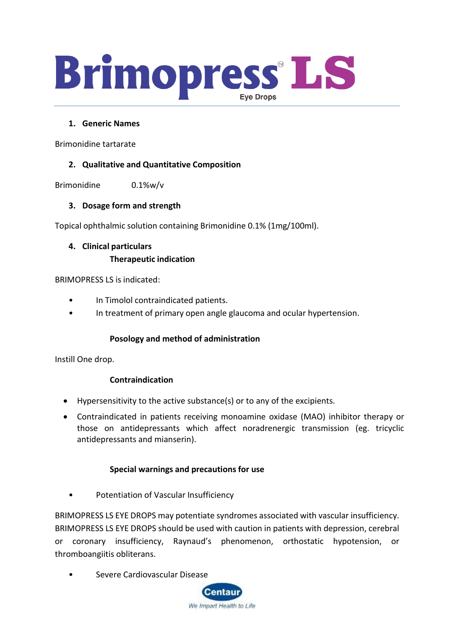

#### **1. Generic Names**

Brimonidine tartarate

#### **2. Qualitative and Quantitative Composition**

Brimonidine 0.1%w/v

### **3. Dosage form and strength**

Topical ophthalmic solution containing Brimonidine 0.1% (1mg/100ml).

# **4. Clinical particulars Therapeutic indication**

BRIMOPRESS LS is indicated:

- In Timolol contraindicated patients.
- In treatment of primary open angle glaucoma and ocular hypertension.

#### **Posology and method of administration**

Instill One drop.

#### **Contraindication**

- Hypersensitivity to the active substance(s) or to any of the excipients.
- Contraindicated in patients receiving monoamine oxidase (MAO) inhibitor therapy or those on antidepressants which affect noradrenergic transmission (eg. tricyclic antidepressants and mianserin).

#### **Special warnings and precautions for use**

• Potentiation of Vascular Insufficiency

BRIMOPRESS LS EYE DROPS may potentiate syndromes associated with vascular insufficiency. BRIMOPRESS LS EYE DROPS should be used with caution in patients with depression, cerebral or coronary insufficiency, Raynaud's phenomenon, orthostatic hypotension, or thromboangiitis obliterans.

• Severe Cardiovascular Disease

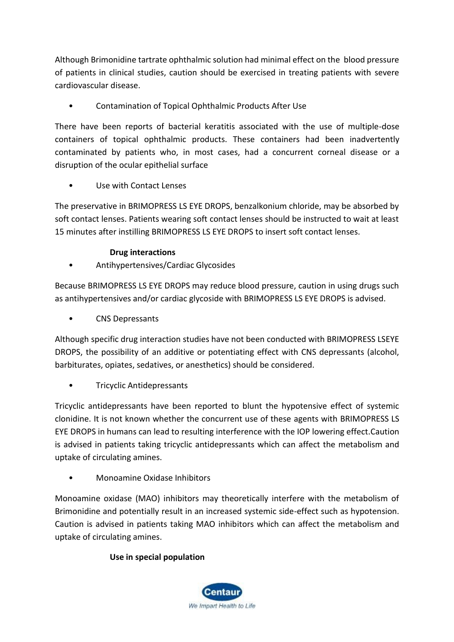Although Brimonidine tartrate ophthalmic solution had minimal effect on the blood pressure of patients in clinical studies, caution should be exercised in treating patients with severe cardiovascular disease.

• Contamination of Topical Ophthalmic Products After Use

There have been reports of bacterial keratitis associated with the use of multiple-dose containers of topical ophthalmic products. These containers had been inadvertently contaminated by patients who, in most cases, had a concurrent corneal disease or a disruption of the ocular epithelial surface

Use with Contact Lenses

The preservative in BRIMOPRESS LS EYE DROPS, benzalkonium chloride, may be absorbed by soft contact lenses. Patients wearing soft contact lenses should be instructed to wait at least 15 minutes after instilling BRIMOPRESS LS EYE DROPS to insert soft contact lenses.

## **Drug interactions**

• Antihypertensives/Cardiac Glycosides

Because BRIMOPRESS LS EYE DROPS may reduce blood pressure, caution in using drugs such as antihypertensives and/or cardiac glycoside with BRIMOPRESS LS EYE DROPS is advised.

• CNS Depressants

Although specific drug interaction studies have not been conducted with BRIMOPRESS LSEYE DROPS, the possibility of an additive or potentiating effect with CNS depressants (alcohol, barbiturates, opiates, sedatives, or anesthetics) should be considered.

• Tricyclic Antidepressants

Tricyclic antidepressants have been reported to blunt the hypotensive effect of systemic clonidine. It is not known whether the concurrent use of these agents with BRIMOPRESS LS EYE DROPS in humans can lead to resulting interference with the IOP lowering effect.Caution is advised in patients taking tricyclic antidepressants which can affect the metabolism and uptake of circulating amines.

• Monoamine Oxidase Inhibitors

Monoamine oxidase (MAO) inhibitors may theoretically interfere with the metabolism of Brimonidine and potentially result in an increased systemic side-effect such as hypotension. Caution is advised in patients taking MAO inhibitors which can affect the metabolism and uptake of circulating amines.

## **Use in special population**

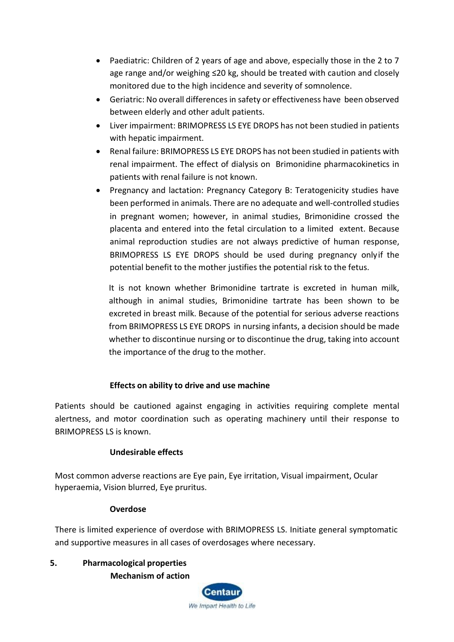- Paediatric: Children of 2 years of age and above, especially those in the 2 to 7 age range and/or weighing ≤20 kg, should be treated with caution and closely monitored due to the high incidence and severity of somnolence.
- Geriatric: No overall differences in safety or effectiveness have been observed between elderly and other adult patients.
- Liver impairment: BRIMOPRESS LS EYE DROPS has not been studied in patients with hepatic impairment.
- Renal failure: BRIMOPRESS LS EYE DROPS has not been studied in patients with renal impairment. The effect of dialysis on Brimonidine pharmacokinetics in patients with renal failure is not known.
- Pregnancy and lactation: Pregnancy Category B: Teratogenicity studies have been performed in animals. There are no adequate and well-controlled studies in pregnant women; however, in animal studies, Brimonidine crossed the placenta and entered into the fetal circulation to a limited extent. Because animal reproduction studies are not always predictive of human response, BRIMOPRESS LS EYE DROPS should be used during pregnancy onlyif the potential benefit to the mother justifies the potential risk to the fetus.

It is not known whether Brimonidine tartrate is excreted in human milk, although in animal studies, Brimonidine tartrate has been shown to be excreted in breast milk. Because of the potential for serious adverse reactions from BRIMOPRESS LS EYE DROPS in nursing infants, a decision should be made whether to discontinue nursing or to discontinue the drug, taking into account the importance of the drug to the mother.

## **Effects on ability to drive and use machine**

Patients should be cautioned against engaging in activities requiring complete mental alertness, and motor coordination such as operating machinery until their response to BRIMOPRESS LS is known.

### **Undesirable effects**

Most common adverse reactions are Eye pain, Eye irritation, Visual impairment, Ocular hyperaemia, Vision blurred, Eye pruritus.

### **Overdose**

There is limited experience of overdose with BRIMOPRESS LS. Initiate general symptomatic and supportive measures in all cases of overdosages where necessary.

**5. Pharmacological properties Mechanism of action**

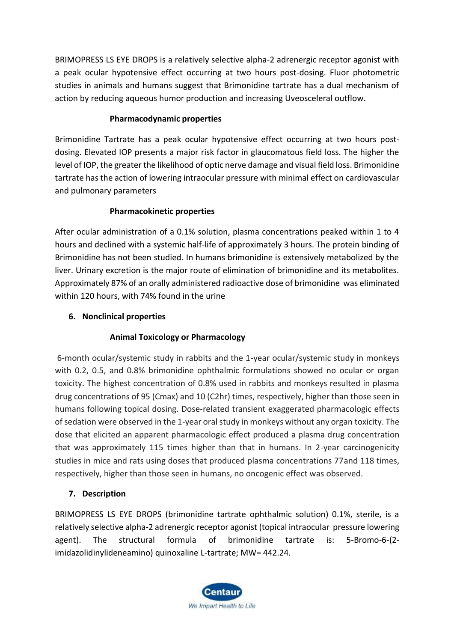BRIMOPRESS LS EYE DROPS is a relatively selective alpha-2 adrenergic receptor agonist with a peak ocular hypotensive effect occurring at two hours post-dosing. Fluor photometric studies in animals and humans suggest that Brimonidine tartrate has a dual mechanism of action by reducing aqueous humor production and increasing Uveosceleral outflow.

## **Pharmacodynamic properties**

Brimonidine Tartrate has a peak ocular hypotensive effect occurring at two hours postdosing. Elevated IOP presents a major risk factor in glaucomatous field loss. The higher the level of IOP, the greater the likelihood of optic nerve damage and visual field loss. Brimonidine tartrate has the action of lowering intraocular pressure with minimal effect on cardiovascular and pulmonary parameters

## **Pharmacokinetic properties**

After ocular administration of a 0.1% solution, plasma concentrations peaked within 1 to 4 hours and declined with a systemic half-life of approximately 3 hours. The protein binding of Brimonidine has not been studied. In humans brimonidine is extensively metabolized by the liver. Urinary excretion is the major route of elimination of brimonidine and its metabolites. Approximately 87% of an orally administered radioactive dose of brimonidine was eliminated within 120 hours, with 74% found in the urine

## **6. Nonclinical properties**

## **Animal Toxicology or Pharmacology**

6-month ocular/systemic study in rabbits and the 1-year ocular/systemic study in monkeys with 0.2, 0.5, and 0.8% brimonidine ophthalmic formulations showed no ocular or organ toxicity. The highest concentration of 0.8% used in rabbits and monkeys resulted in plasma drug concentrations of 95 (Cmax) and 10 (C2hr) times, respectively, higher than those seen in humans following topical dosing. Dose-related transient exaggerated pharmacologic effects of sedation were observed in the 1-year oral study in monkeys without any organ toxicity. The dose that elicited an apparent pharmacologic effect produced a plasma drug concentration that was approximately 115 times higher than that in humans. In 2-year carcinogenicity studies in mice and rats using doses that produced plasma concentrations 77and 118 times, respectively, higher than those seen in humans, no oncogenic effect was observed.

## **7. Description**

BRIMOPRESS LS EYE DROPS (brimonidine tartrate ophthalmic solution) 0.1%, sterile, is a relatively selective alpha-2 adrenergic receptor agonist (topical intraocular pressure lowering agent). The structural formula of brimonidine tartrate is: 5-Bromo-6-(2 imidazolidinylideneamino) quinoxaline L-tartrate; MW= 442.24.

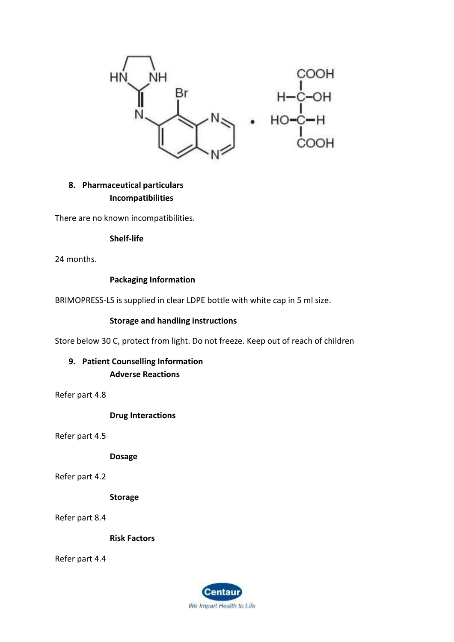

## **8. Pharmaceutical particulars Incompatibilities**

There are no known incompatibilities.

#### **Shelf-life**

24 months.

### **Packaging Information**

BRIMOPRESS-LS is supplied in clear LDPE bottle with white cap in 5 ml size.

#### **Storage and handling instructions**

Store below 30 C, protect from light. Do not freeze. Keep out of reach of children

**9. Patient Counselling Information Adverse Reactions**

Refer part 4.8

**Drug Interactions**

Refer part 4.5

**Dosage**

Refer part 4.2

**Storage**

Refer part 8.4

**Risk Factors**

Refer part 4.4